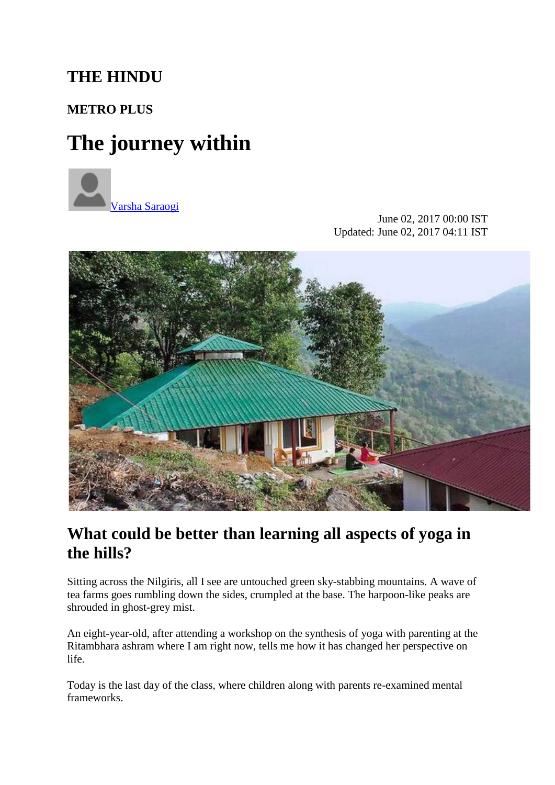## **THE HINDU**

### **[METRO PLUS](http://www.thehindu.com/todays-paper/tp-features/tp-metroplus/)**

# **The journey within**



June 02, 2017 00:00 IST Updated: June 02, 2017 04:11 IST



### **What could be better than learning all aspects of yoga in the hills?**

Sitting across the Nilgiris, all I see are untouched green sky-stabbing mountains. A wave of tea farms goes rumbling down the sides, crumpled at the base. The harpoon-like peaks are shrouded in ghost-grey mist.

An eight-year-old, after attending a workshop on the synthesis of yoga with parenting at the Ritambhara ashram where I am right now, tells me how it has changed her perspective on life.

Today is the last day of the class, where children along with parents re-examined mental frameworks.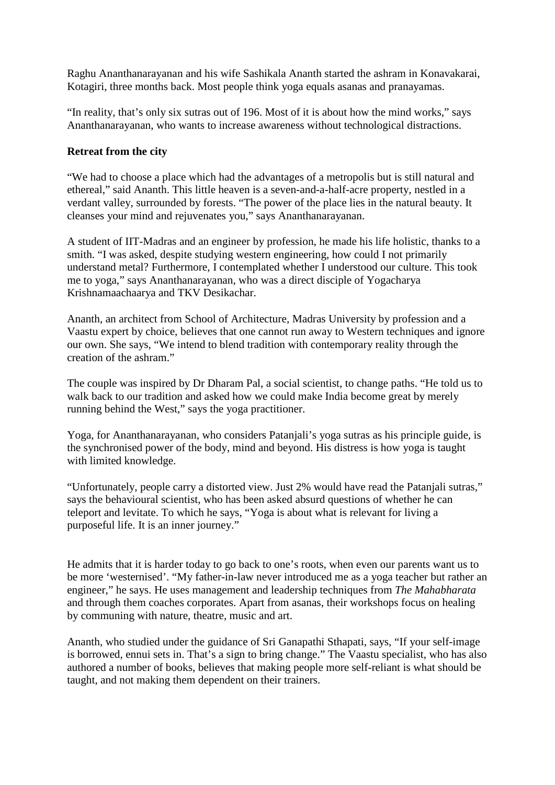Raghu Ananthanarayanan and his wife Sashikala Ananth started the ashram in Konavakarai, Kotagiri, three months back. Most people think yoga equals asanas and pranayamas.

"In reality, that's only six sutras out of 196. Most of it is about how the mind works," says Ananthanarayanan, who wants to increase awareness without technological distractions.

#### **Retreat from the city**

"We had to choose a place which had the advantages of a metropolis but is still natural and ethereal," said Ananth. This little heaven is a seven-and-a-half-acre property, nestled in a verdant valley, surrounded by forests. "The power of the place lies in the natural beauty. It cleanses your mind and rejuvenates you," says Ananthanarayanan.

A student of IIT-Madras and an engineer by profession, he made his life holistic, thanks to a smith. "I was asked, despite studying western engineering, how could I not primarily understand metal? Furthermore, I contemplated whether I understood our culture. This took me to yoga," says Ananthanarayanan, who was a direct disciple of Yogacharya Krishnamaachaarya and TKV Desikachar.

Ananth, an architect from School of Architecture, Madras University by profession and a Vaastu expert by choice, believes that one cannot run away to Western techniques and ignore our own. She says, "We intend to blend tradition with contemporary reality through the creation of the ashram."

The couple was inspired by Dr Dharam Pal, a social scientist, to change paths. "He told us to walk back to our tradition and asked how we could make India become great by merely running behind the West," says the yoga practitioner.

Yoga, for Ananthanarayanan, who considers Patanjali's yoga sutras as his principle guide, is the synchronised power of the body, mind and beyond. His distress is how yoga is taught with limited knowledge.

"Unfortunately, people carry a distorted view. Just 2% would have read the Patanjali sutras," says the behavioural scientist, who has been asked absurd questions of whether he can teleport and levitate. To which he says, "Yoga is about what is relevant for living a purposeful life. It is an inner journey."

He admits that it is harder today to go back to one's roots, when even our parents want us to be more 'westernised'. "My father-in-law never introduced me as a yoga teacher but rather an engineer," he says. He uses management and leadership techniques from *The Mahabharata* and through them coaches corporates. Apart from asanas, their workshops focus on healing by communing with nature, theatre, music and art.

Ananth, who studied under the guidance of Sri Ganapathi Sthapati, says, "If your self-image is borrowed, ennui sets in. That's a sign to bring change." The Vaastu specialist, who has also authored a number of books, believes that making people more self-reliant is what should be taught, and not making them dependent on their trainers.